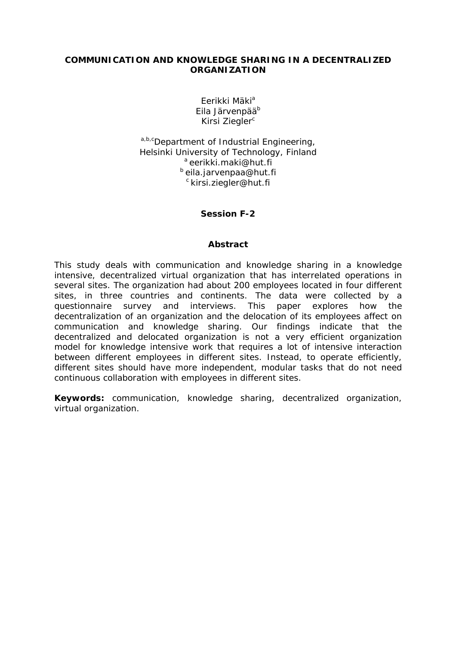# **COMMUNICATION AND KNOWLEDGE SHARING IN A DECENTRALIZED ORGANIZATION**

Eerikki Mäki<sup>a</sup> Fila Järvenpää<sup>b</sup> Kirsi Ziegler<sup>c</sup>

a,b,cDepartment of Industrial Engineering, Helsinki University of Technology, Finland<br><sup>a</sup> eerikki.maki@hut.fi b eila.jarvenpaa@hut.fi c kirsi.ziegler@hut.fi

# **Session F-2**

#### **Abstract**

This study deals with communication and knowledge sharing in a knowledge intensive, decentralized virtual organization that has interrelated operations in several sites. The organization had about 200 employees located in four different sites, in three countries and continents. The data were collected by a questionnaire survey and interviews. This paper explores how the decentralization of an organization and the delocation of its employees affect on communication and knowledge sharing. Our findings indicate that the decentralized and delocated organization is not a very efficient organization model for knowledge intensive work that requires a lot of intensive interaction between different employees in different sites. Instead, to operate efficiently, different sites should have more independent, modular tasks that do not need continuous collaboration with employees in different sites.

**Keywords:** communication, knowledge sharing, decentralized organization, virtual organization.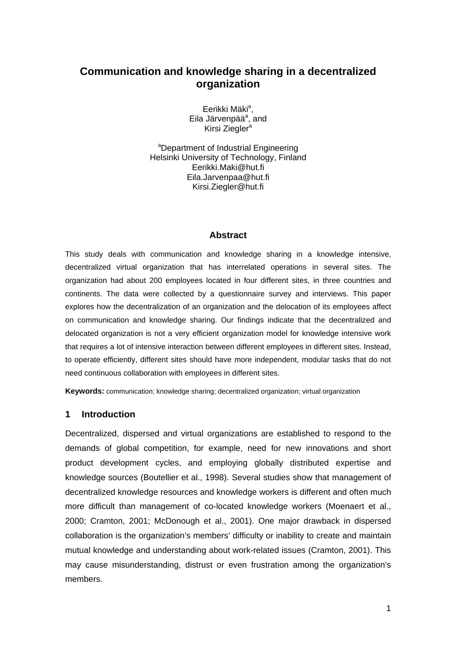# **Communication and knowledge sharing in a decentralized organization**

Eerikki Mäki<sup>a</sup>, Eila Järvenpää<sup>a</sup>, and Kirsi Ziegler<sup>a</sup>

<sup>a</sup>Department of Industrial Engineering Helsinki University of Technology, Finland Eerikki.Maki@hut.fi Eila.Jarvenpaa@hut.fi Kirsi.Ziegler@hut.fi

#### **Abstract**

This study deals with communication and knowledge sharing in a knowledge intensive, decentralized virtual organization that has interrelated operations in several sites. The organization had about 200 employees located in four different sites, in three countries and continents. The data were collected by a questionnaire survey and interviews. This paper explores how the decentralization of an organization and the delocation of its employees affect on communication and knowledge sharing. Our findings indicate that the decentralized and delocated organization is not a very efficient organization model for knowledge intensive work that requires a lot of intensive interaction between different employees in different sites. Instead, to operate efficiently, different sites should have more independent, modular tasks that do not need continuous collaboration with employees in different sites.

**Keywords:** communication; knowledge sharing; decentralized organization; virtual organization

### **1 Introduction**

Decentralized, dispersed and virtual organizations are established to respond to the demands of global competition, for example, need for new innovations and short product development cycles, and employing globally distributed expertise and knowledge sources (Boutellier et al., 1998). Several studies show that management of decentralized knowledge resources and knowledge workers is different and often much more difficult than management of co-located knowledge workers (Moenaert et al., 2000; Cramton, 2001; McDonough et al., 2001). One major drawback in dispersed collaboration is the organization's members' difficulty or inability to create and maintain mutual knowledge and understanding about work-related issues (Cramton, 2001). This may cause misunderstanding, distrust or even frustration among the organization's members.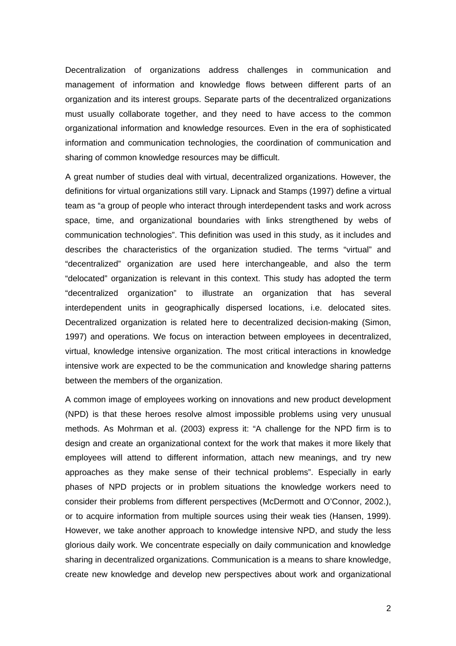Decentralization of organizations address challenges in communication and management of information and knowledge flows between different parts of an organization and its interest groups. Separate parts of the decentralized organizations must usually collaborate together, and they need to have access to the common organizational information and knowledge resources. Even in the era of sophisticated information and communication technologies, the coordination of communication and sharing of common knowledge resources may be difficult.

A great number of studies deal with virtual, decentralized organizations. However, the definitions for virtual organizations still vary. Lipnack and Stamps (1997) define a virtual team as "a group of people who interact through interdependent tasks and work across space, time, and organizational boundaries with links strengthened by webs of communication technologies". This definition was used in this study, as it includes and describes the characteristics of the organization studied. The terms "virtual" and "decentralized" organization are used here interchangeable, and also the term "delocated" organization is relevant in this context. This study has adopted the term "decentralized organization" to illustrate an organization that has several interdependent units in geographically dispersed locations, i.e. delocated sites. Decentralized organization is related here to decentralized decision-making (Simon, 1997) and operations. We focus on interaction between employees in decentralized, virtual, knowledge intensive organization. The most critical interactions in knowledge intensive work are expected to be the communication and knowledge sharing patterns between the members of the organization.

A common image of employees working on innovations and new product development (NPD) is that these heroes resolve almost impossible problems using very unusual methods. As Mohrman et al. (2003) express it: "A challenge for the NPD firm is to design and create an organizational context for the work that makes it more likely that employees will attend to different information, attach new meanings, and try new approaches as they make sense of their technical problems". Especially in early phases of NPD projects or in problem situations the knowledge workers need to consider their problems from different perspectives (McDermott and O'Connor, 2002.), or to acquire information from multiple sources using their weak ties (Hansen, 1999). However, we take another approach to knowledge intensive NPD, and study the less glorious daily work. We concentrate especially on daily communication and knowledge sharing in decentralized organizations. Communication is a means to share knowledge, create new knowledge and develop new perspectives about work and organizational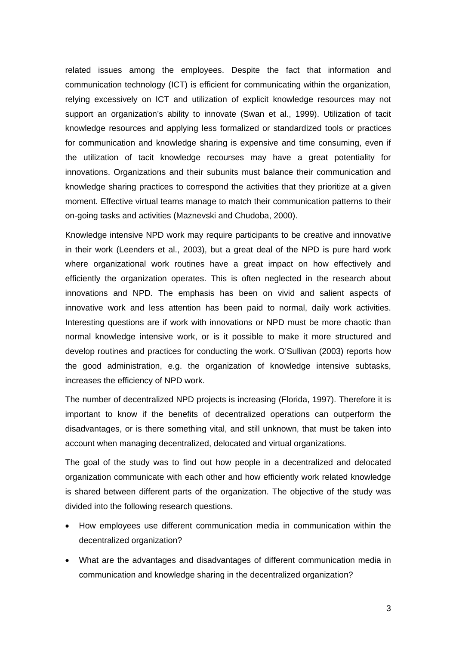related issues among the employees. Despite the fact that information and communication technology (ICT) is efficient for communicating within the organization, relying excessively on ICT and utilization of explicit knowledge resources may not support an organization's ability to innovate (Swan et al., 1999). Utilization of tacit knowledge resources and applying less formalized or standardized tools or practices for communication and knowledge sharing is expensive and time consuming, even if the utilization of tacit knowledge recourses may have a great potentiality for innovations. Organizations and their subunits must balance their communication and knowledge sharing practices to correspond the activities that they prioritize at a given moment. Effective virtual teams manage to match their communication patterns to their on-going tasks and activities (Maznevski and Chudoba, 2000).

Knowledge intensive NPD work may require participants to be creative and innovative in their work (Leenders et al., 2003), but a great deal of the NPD is pure hard work where organizational work routines have a great impact on how effectively and efficiently the organization operates. This is often neglected in the research about innovations and NPD. The emphasis has been on vivid and salient aspects of innovative work and less attention has been paid to normal, daily work activities. Interesting questions are if work with innovations or NPD must be more chaotic than normal knowledge intensive work, or is it possible to make it more structured and develop routines and practices for conducting the work. O'Sullivan (2003) reports how the good administration, e.g. the organization of knowledge intensive subtasks, increases the efficiency of NPD work.

The number of decentralized NPD projects is increasing (Florida, 1997). Therefore it is important to know if the benefits of decentralized operations can outperform the disadvantages, or is there something vital, and still unknown, that must be taken into account when managing decentralized, delocated and virtual organizations.

The goal of the study was to find out how people in a decentralized and delocated organization communicate with each other and how efficiently work related knowledge is shared between different parts of the organization. The objective of the study was divided into the following research questions.

- How employees use different communication media in communication within the decentralized organization?
- What are the advantages and disadvantages of different communication media in communication and knowledge sharing in the decentralized organization?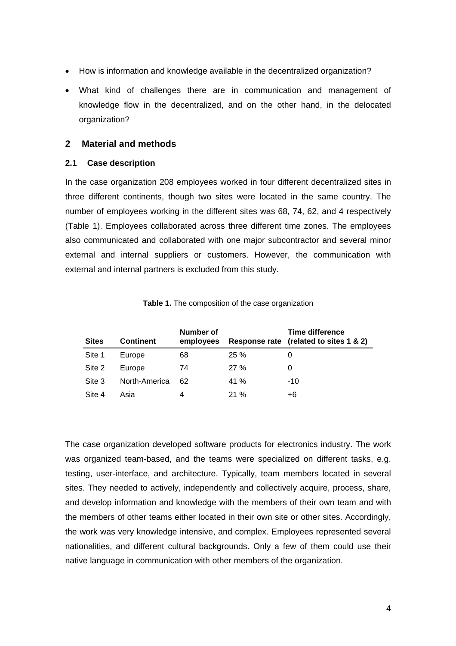- How is information and knowledge available in the decentralized organization?
- What kind of challenges there are in communication and management of knowledge flow in the decentralized, and on the other hand, in the delocated organization?

#### **2 Material and methods**

# **2.1 Case description**

In the case organization 208 employees worked in four different decentralized sites in three different continents, though two sites were located in the same country. The number of employees working in the different sites was 68, 74, 62, and 4 respectively (Table 1). Employees collaborated across three different time zones. The employees also communicated and collaborated with one major subcontractor and several minor external and internal suppliers or customers. However, the communication with external and internal partners is excluded from this study.

| <b>Sites</b> | <b>Continent</b> | Number of<br>employees |      | Time difference<br>Response rate (related to sites 1 & 2) |
|--------------|------------------|------------------------|------|-----------------------------------------------------------|
| Site 1       | Europe           | 68                     | 25%  |                                                           |
| Site 2       | Europe           | 74                     | 27%  |                                                           |
| Site 3       | North-America    | 62                     | 41 % | $-10$                                                     |
| Site 4       | Asia             | 4                      | 21%  | +6                                                        |

**Table 1.** The composition of the case organization

The case organization developed software products for electronics industry. The work was organized team-based, and the teams were specialized on different tasks, e.g. testing, user-interface, and architecture. Typically, team members located in several sites. They needed to actively, independently and collectively acquire, process, share, and develop information and knowledge with the members of their own team and with the members of other teams either located in their own site or other sites. Accordingly, the work was very knowledge intensive, and complex. Employees represented several nationalities, and different cultural backgrounds. Only a few of them could use their native language in communication with other members of the organization.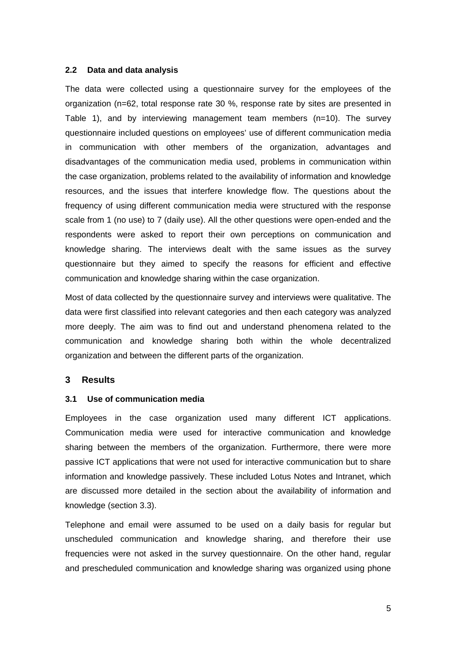#### **2.2 Data and data analysis**

The data were collected using a questionnaire survey for the employees of the organization (n=62, total response rate 30 %, response rate by sites are presented in Table 1), and by interviewing management team members (n=10). The survey questionnaire included questions on employees' use of different communication media in communication with other members of the organization, advantages and disadvantages of the communication media used, problems in communication within the case organization, problems related to the availability of information and knowledge resources, and the issues that interfere knowledge flow. The questions about the frequency of using different communication media were structured with the response scale from 1 (no use) to 7 (daily use). All the other questions were open-ended and the respondents were asked to report their own perceptions on communication and knowledge sharing. The interviews dealt with the same issues as the survey questionnaire but they aimed to specify the reasons for efficient and effective communication and knowledge sharing within the case organization.

Most of data collected by the questionnaire survey and interviews were qualitative. The data were first classified into relevant categories and then each category was analyzed more deeply. The aim was to find out and understand phenomena related to the communication and knowledge sharing both within the whole decentralized organization and between the different parts of the organization.

# **3 Results**

#### **3.1 Use of communication media**

Employees in the case organization used many different ICT applications. Communication media were used for interactive communication and knowledge sharing between the members of the organization. Furthermore, there were more passive ICT applications that were not used for interactive communication but to share information and knowledge passively. These included Lotus Notes and Intranet, which are discussed more detailed in the section about the availability of information and knowledge (section 3.3).

Telephone and email were assumed to be used on a daily basis for regular but unscheduled communication and knowledge sharing, and therefore their use frequencies were not asked in the survey questionnaire. On the other hand, regular and prescheduled communication and knowledge sharing was organized using phone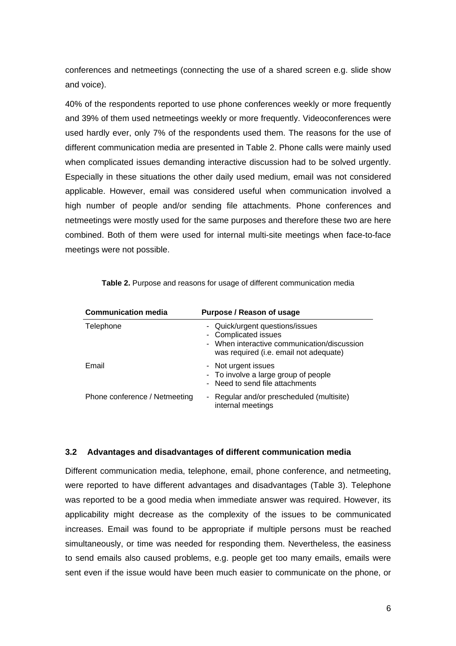conferences and netmeetings (connecting the use of a shared screen e.g. slide show and voice).

40% of the respondents reported to use phone conferences weekly or more frequently and 39% of them used netmeetings weekly or more frequently. Videoconferences were used hardly ever, only 7% of the respondents used them. The reasons for the use of different communication media are presented in Table 2. Phone calls were mainly used when complicated issues demanding interactive discussion had to be solved urgently. Especially in these situations the other daily used medium, email was not considered applicable. However, email was considered useful when communication involved a high number of people and/or sending file attachments. Phone conferences and netmeetings were mostly used for the same purposes and therefore these two are here combined. Both of them were used for internal multi-site meetings when face-to-face meetings were not possible.

| <b>Communication media</b>    | Purpose / Reason of usage                                                                                                                        |
|-------------------------------|--------------------------------------------------------------------------------------------------------------------------------------------------|
| Telephone                     | - Quick/urgent questions/issues<br>- Complicated issues<br>- When interactive communication/discussion<br>was required (i.e. email not adequate) |
| Email                         | - Not urgent issues<br>- To involve a large group of people<br>- Need to send file attachments                                                   |
| Phone conference / Netmeeting | - Regular and/or prescheduled (multisite)<br>internal meetings                                                                                   |

Table 2. Purpose and reasons for usage of different communication media

# **3.2 Advantages and disadvantages of different communication media**

Different communication media, telephone, email, phone conference, and netmeeting, were reported to have different advantages and disadvantages (Table 3). Telephone was reported to be a good media when immediate answer was required. However, its applicability might decrease as the complexity of the issues to be communicated increases. Email was found to be appropriate if multiple persons must be reached simultaneously, or time was needed for responding them. Nevertheless, the easiness to send emails also caused problems, e.g. people get too many emails, emails were sent even if the issue would have been much easier to communicate on the phone, or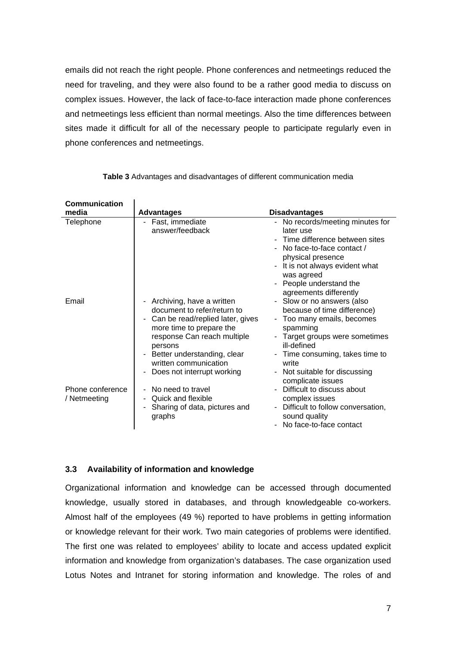emails did not reach the right people. Phone conferences and netmeetings reduced the need for traveling, and they were also found to be a rather good media to discuss on complex issues. However, the lack of face-to-face interaction made phone conferences and netmeetings less efficient than normal meetings. Also the time differences between sites made it difficult for all of the necessary people to participate regularly even in phone conferences and netmeetings.

| <b>Communication</b>             |                                                                                                                                                                                                                                                                                        |                                                                                                                                                                                                                                                        |
|----------------------------------|----------------------------------------------------------------------------------------------------------------------------------------------------------------------------------------------------------------------------------------------------------------------------------------|--------------------------------------------------------------------------------------------------------------------------------------------------------------------------------------------------------------------------------------------------------|
| media                            | <b>Advantages</b>                                                                                                                                                                                                                                                                      | <b>Disadvantages</b>                                                                                                                                                                                                                                   |
| Telephone                        | Fast, immediate<br>-<br>answer/feedback                                                                                                                                                                                                                                                | No records/meeting minutes for<br>later use<br>- Time difference between sites<br>- No face-to-face contact /<br>physical presence<br>It is not always evident what<br>was agreed<br>- People understand the<br>agreements differently                 |
| Email                            | - Archiving, have a written<br>document to refer/return to<br>Can be read/replied later, gives<br>٠<br>more time to prepare the<br>response Can reach multiple<br>persons<br>Better understanding, clear<br>$\blacksquare$<br>written communication<br>Does not interrupt working<br>- | - Slow or no answers (also<br>because of time difference)<br>- Too many emails, becomes<br>spamming<br>- Target groups were sometimes<br>ill-defined<br>- Time consuming, takes time to<br>write<br>- Not suitable for discussing<br>complicate issues |
| Phone conference<br>/ Netmeeting | No need to travel<br>Quick and flexible<br>$\overline{\phantom{a}}$<br>Sharing of data, pictures and<br>$\overline{\phantom{a}}$<br>graphs                                                                                                                                             | Difficult to discuss about<br>complex issues<br>Difficult to follow conversation,<br>sound quality<br>No face-to-face contact                                                                                                                          |

**Table 3** Advantages and disadvantages of different communication media

#### **3.3 Availability of information and knowledge**

 $\overline{1}$ 

Organizational information and knowledge can be accessed through documented knowledge, usually stored in databases, and through knowledgeable co-workers. Almost half of the employees (49 %) reported to have problems in getting information or knowledge relevant for their work. Two main categories of problems were identified. The first one was related to employees' ability to locate and access updated explicit information and knowledge from organization's databases. The case organization used Lotus Notes and Intranet for storing information and knowledge. The roles of and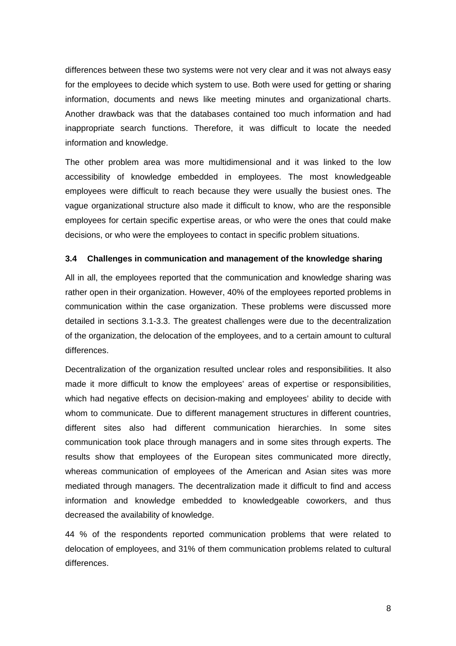differences between these two systems were not very clear and it was not always easy for the employees to decide which system to use. Both were used for getting or sharing information, documents and news like meeting minutes and organizational charts. Another drawback was that the databases contained too much information and had inappropriate search functions. Therefore, it was difficult to locate the needed information and knowledge.

The other problem area was more multidimensional and it was linked to the low accessibility of knowledge embedded in employees. The most knowledgeable employees were difficult to reach because they were usually the busiest ones. The vague organizational structure also made it difficult to know, who are the responsible employees for certain specific expertise areas, or who were the ones that could make decisions, or who were the employees to contact in specific problem situations.

#### **3.4 Challenges in communication and management of the knowledge sharing**

All in all, the employees reported that the communication and knowledge sharing was rather open in their organization. However, 40% of the employees reported problems in communication within the case organization. These problems were discussed more detailed in sections 3.1-3.3. The greatest challenges were due to the decentralization of the organization, the delocation of the employees, and to a certain amount to cultural differences.

Decentralization of the organization resulted unclear roles and responsibilities. It also made it more difficult to know the employees' areas of expertise or responsibilities, which had negative effects on decision-making and employees' ability to decide with whom to communicate. Due to different management structures in different countries, different sites also had different communication hierarchies. In some sites communication took place through managers and in some sites through experts. The results show that employees of the European sites communicated more directly, whereas communication of employees of the American and Asian sites was more mediated through managers. The decentralization made it difficult to find and access information and knowledge embedded to knowledgeable coworkers, and thus decreased the availability of knowledge.

44 % of the respondents reported communication problems that were related to delocation of employees, and 31% of them communication problems related to cultural differences.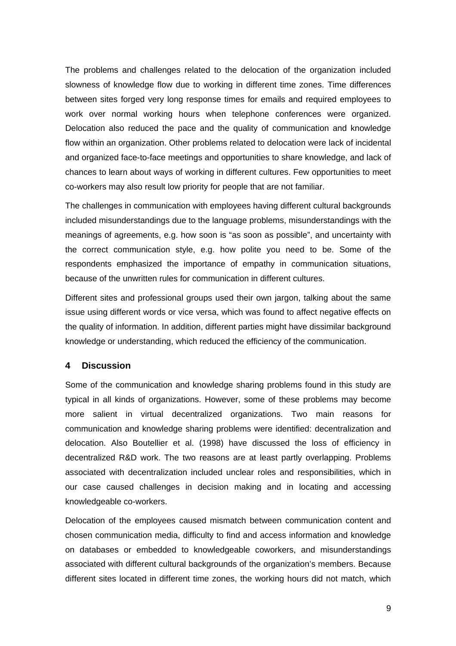The problems and challenges related to the delocation of the organization included slowness of knowledge flow due to working in different time zones. Time differences between sites forged very long response times for emails and required employees to work over normal working hours when telephone conferences were organized. Delocation also reduced the pace and the quality of communication and knowledge flow within an organization. Other problems related to delocation were lack of incidental and organized face-to-face meetings and opportunities to share knowledge, and lack of chances to learn about ways of working in different cultures. Few opportunities to meet co-workers may also result low priority for people that are not familiar.

The challenges in communication with employees having different cultural backgrounds included misunderstandings due to the language problems, misunderstandings with the meanings of agreements, e.g. how soon is "as soon as possible", and uncertainty with the correct communication style, e.g. how polite you need to be. Some of the respondents emphasized the importance of empathy in communication situations, because of the unwritten rules for communication in different cultures.

Different sites and professional groups used their own jargon, talking about the same issue using different words or vice versa, which was found to affect negative effects on the quality of information. In addition, different parties might have dissimilar background knowledge or understanding, which reduced the efficiency of the communication.

# **4 Discussion**

Some of the communication and knowledge sharing problems found in this study are typical in all kinds of organizations. However, some of these problems may become more salient in virtual decentralized organizations. Two main reasons for communication and knowledge sharing problems were identified: decentralization and delocation. Also Boutellier et al. (1998) have discussed the loss of efficiency in decentralized R&D work. The two reasons are at least partly overlapping. Problems associated with decentralization included unclear roles and responsibilities, which in our case caused challenges in decision making and in locating and accessing knowledgeable co-workers.

Delocation of the employees caused mismatch between communication content and chosen communication media, difficulty to find and access information and knowledge on databases or embedded to knowledgeable coworkers, and misunderstandings associated with different cultural backgrounds of the organization's members. Because different sites located in different time zones, the working hours did not match, which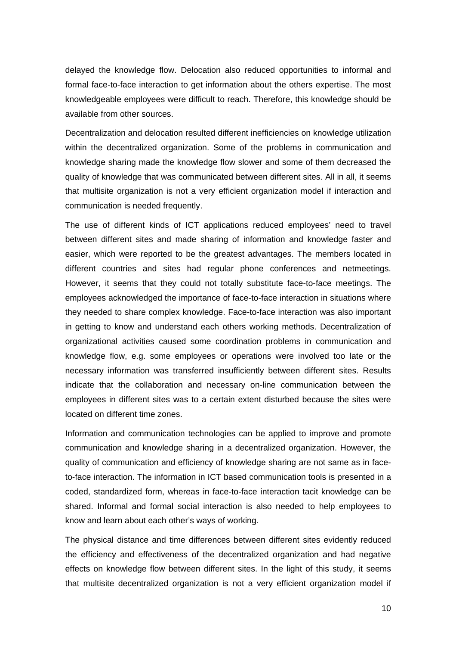delayed the knowledge flow. Delocation also reduced opportunities to informal and formal face-to-face interaction to get information about the others expertise. The most knowledgeable employees were difficult to reach. Therefore, this knowledge should be available from other sources.

Decentralization and delocation resulted different inefficiencies on knowledge utilization within the decentralized organization. Some of the problems in communication and knowledge sharing made the knowledge flow slower and some of them decreased the quality of knowledge that was communicated between different sites. All in all, it seems that multisite organization is not a very efficient organization model if interaction and communication is needed frequently.

The use of different kinds of ICT applications reduced employees' need to travel between different sites and made sharing of information and knowledge faster and easier, which were reported to be the greatest advantages. The members located in different countries and sites had regular phone conferences and netmeetings. However, it seems that they could not totally substitute face-to-face meetings. The employees acknowledged the importance of face-to-face interaction in situations where they needed to share complex knowledge. Face-to-face interaction was also important in getting to know and understand each others working methods. Decentralization of organizational activities caused some coordination problems in communication and knowledge flow, e.g. some employees or operations were involved too late or the necessary information was transferred insufficiently between different sites. Results indicate that the collaboration and necessary on-line communication between the employees in different sites was to a certain extent disturbed because the sites were located on different time zones.

Information and communication technologies can be applied to improve and promote communication and knowledge sharing in a decentralized organization. However, the quality of communication and efficiency of knowledge sharing are not same as in faceto-face interaction. The information in ICT based communication tools is presented in a coded, standardized form, whereas in face-to-face interaction tacit knowledge can be shared. Informal and formal social interaction is also needed to help employees to know and learn about each other's ways of working.

The physical distance and time differences between different sites evidently reduced the efficiency and effectiveness of the decentralized organization and had negative effects on knowledge flow between different sites. In the light of this study, it seems that multisite decentralized organization is not a very efficient organization model if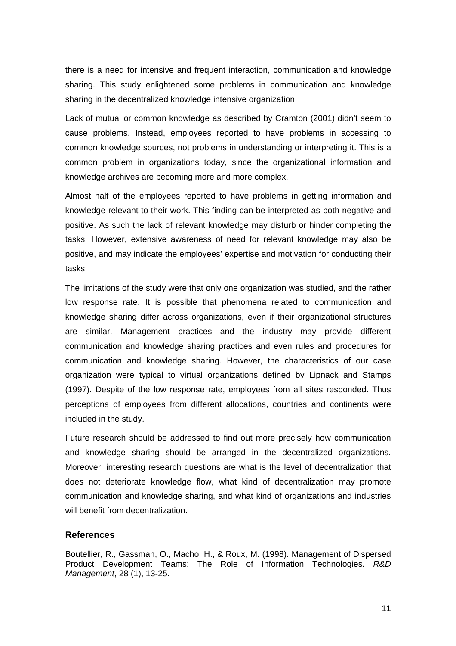there is a need for intensive and frequent interaction, communication and knowledge sharing. This study enlightened some problems in communication and knowledge sharing in the decentralized knowledge intensive organization.

Lack of mutual or common knowledge as described by Cramton (2001) didn't seem to cause problems. Instead, employees reported to have problems in accessing to common knowledge sources, not problems in understanding or interpreting it. This is a common problem in organizations today, since the organizational information and knowledge archives are becoming more and more complex.

Almost half of the employees reported to have problems in getting information and knowledge relevant to their work. This finding can be interpreted as both negative and positive. As such the lack of relevant knowledge may disturb or hinder completing the tasks. However, extensive awareness of need for relevant knowledge may also be positive, and may indicate the employees' expertise and motivation for conducting their tasks.

The limitations of the study were that only one organization was studied, and the rather low response rate. It is possible that phenomena related to communication and knowledge sharing differ across organizations, even if their organizational structures are similar. Management practices and the industry may provide different communication and knowledge sharing practices and even rules and procedures for communication and knowledge sharing. However, the characteristics of our case organization were typical to virtual organizations defined by Lipnack and Stamps (1997). Despite of the low response rate, employees from all sites responded. Thus perceptions of employees from different allocations, countries and continents were included in the study.

Future research should be addressed to find out more precisely how communication and knowledge sharing should be arranged in the decentralized organizations. Moreover, interesting research questions are what is the level of decentralization that does not deteriorate knowledge flow, what kind of decentralization may promote communication and knowledge sharing, and what kind of organizations and industries will benefit from decentralization.

# **References**

Boutellier, R., Gassman, O., Macho, H., & Roux, M. (1998). Management of Dispersed Product Development Teams: The Role of Information Technologies*. R&D Management*, 28 (1), 13-25.